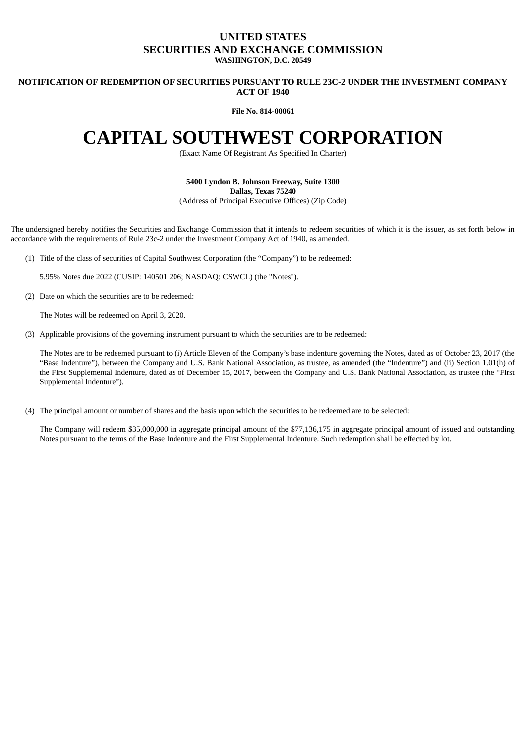## **UNITED STATES SECURITIES AND EXCHANGE COMMISSION WASHINGTON, D.C. 20549**

**NOTIFICATION OF REDEMPTION OF SECURITIES PURSUANT TO RULE 23C-2 UNDER THE INVESTMENT COMPANY ACT OF 1940**

**File No. 814-00061**

## **CAPITAL SOUTHWEST CORPORATION**

(Exact Name Of Registrant As Specified In Charter)

**5400 Lyndon B. Johnson Freeway, Suite 1300 Dallas, Texas 75240** (Address of Principal Executive Offices) (Zip Code)

The undersigned hereby notifies the Securities and Exchange Commission that it intends to redeem securities of which it is the issuer, as set forth below in accordance with the requirements of Rule 23c-2 under the Investment Company Act of 1940, as amended.

(1) Title of the class of securities of Capital Southwest Corporation (the "Company") to be redeemed:

5.95% Notes due 2022 (CUSIP: 140501 206; NASDAQ: CSWCL) (the "Notes").

(2) Date on which the securities are to be redeemed:

The Notes will be redeemed on April 3, 2020.

(3) Applicable provisions of the governing instrument pursuant to which the securities are to be redeemed:

The Notes are to be redeemed pursuant to (i) Article Eleven of the Company's base indenture governing the Notes, dated as of October 23, 2017 (the "Base Indenture"), between the Company and U.S. Bank National Association, as trustee, as amended (the "Indenture") and (ii) Section 1.01(h) of the First Supplemental Indenture, dated as of December 15, 2017, between the Company and U.S. Bank National Association, as trustee (the "First Supplemental Indenture").

(4) The principal amount or number of shares and the basis upon which the securities to be redeemed are to be selected:

The Company will redeem \$35,000,000 in aggregate principal amount of the \$77,136,175 in aggregate principal amount of issued and outstanding Notes pursuant to the terms of the Base Indenture and the First Supplemental Indenture. Such redemption shall be effected by lot.